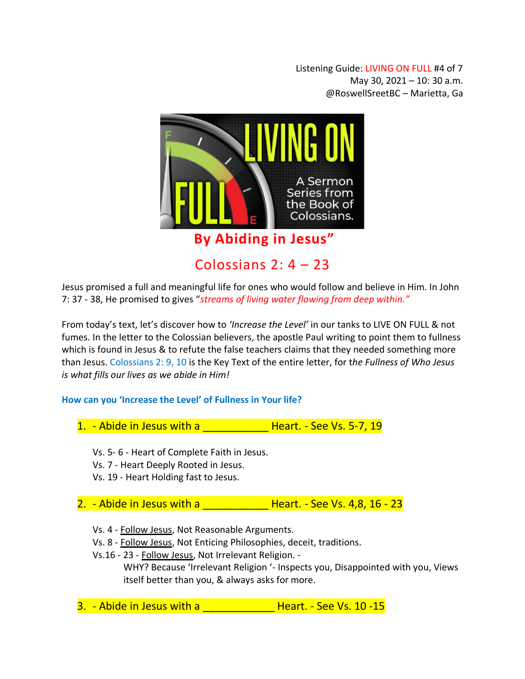Listening Guide: LIVING ON FULL #4 of 7 May 30, 2021 – 10: 30 a.m. @RoswellSreetBC – Marietta, Ga



Jesus promised a full and meaningful life for ones who would follow and believe in Him. In John 7: 37 - 38, He promised to gives "*streams of living water flowing from deep within."*

From today's text, let's discover how to *'Increase the Level'* in our tanks to LIVE ON FULL & not fumes. In the letter to the Colossian believers, the apostle Paul writing to point them to fullness which is found in Jesus & to refute the false teachers claims that they needed something more than Jesus. Colossians 2: 9, 10 is the Key Text of the entire letter, for t*he Fullness of Who Jesus is what fills our lives as we abide in Him!* 

## **How can you 'Increase the Level' of Fullness in Your life?**

| 1. - Abide in Jesus with a |  | Heart. - See Vs. 5-7, 19 |  |  |  |
|----------------------------|--|--------------------------|--|--|--|
|----------------------------|--|--------------------------|--|--|--|

- Vs. 5- 6 Heart of Complete Faith in Jesus.
- Vs. 7 Heart Deeply Rooted in Jesus.
- Vs. 19 Heart Holding fast to Jesus.

## 2. - Abide in Jesus with a  $\overline{a}$  Heart. - See Vs. 4,8, 16 - 23

Vs. 4 - Follow Jesus, Not Reasonable Arguments.

Vs. 8 - Follow Jesus, Not Enticing Philosophies, deceit, traditions.

Vs.16 - 23 - Follow Jesus, Not Irrelevant Religion. -

WHY? Because 'Irrelevant Religion '- Inspects you, Disappointed with you, Views itself better than you, & always asks for more.

3. - Abide in Jesus with a \_\_\_\_\_\_\_\_\_\_\_\_ Heart. - See Vs. 10 -15